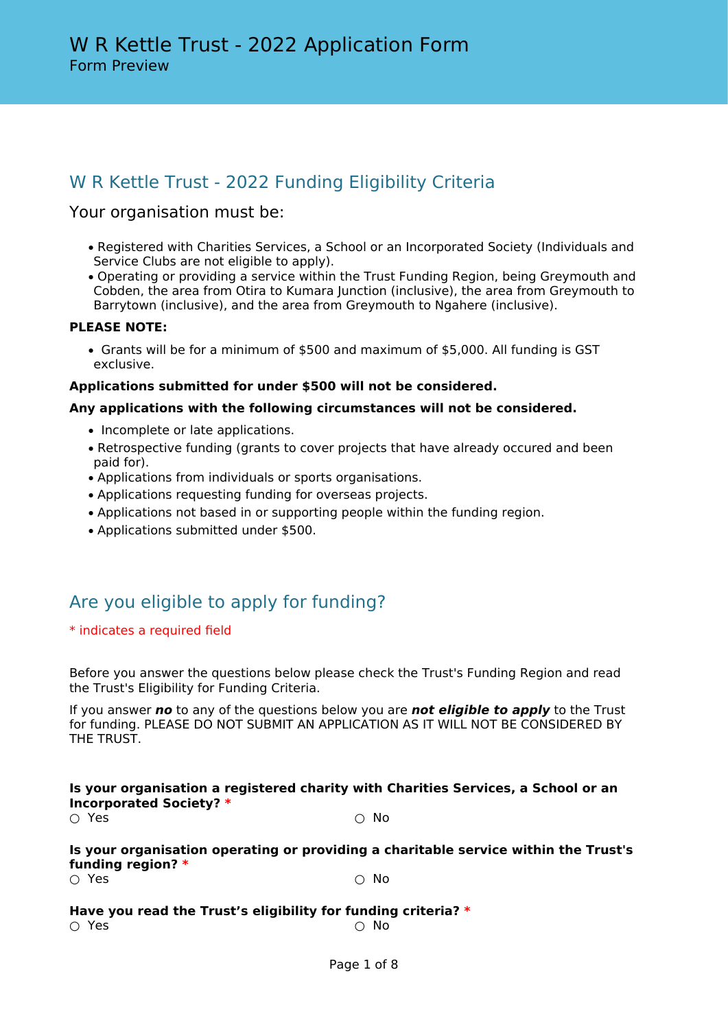# W R Kettle Trust - 2022 Funding Eligibility Criteria

### Your organisation must be:

- Registered with Charities Services, a School or an Incorporated Society (Individuals and Service Clubs are not eligible to apply).
- Operating or providing a service within the Trust Funding Region, being Greymouth and Cobden, the area from Otira to Kumara Junction (inclusive), the area from Greymouth to Barrytown (inclusive), and the area from Greymouth to Ngahere (inclusive).

#### **PLEASE NOTE:**

• Grants will be for a minimum of \$500 and maximum of \$5,000. All funding is GST exclusive.

#### **Applications submitted for under \$500 will not be considered.**

#### **Any applications with the following circumstances will not be considered.**

- Incomplete or late applications.
- Retrospective funding (grants to cover projects that have already occured and been paid for).
- Applications from individuals or sports organisations.
- Applications requesting funding for overseas projects.
- Applications not based in or supporting people within the funding region.
- Applications submitted under \$500.

# Are you eligible to apply for funding?

#### \* indicates a required field

Before you answer the questions below please check the Trust's Funding Region and read the Trust's Eligibility for Funding Criteria.

If you answer *no* to any of the questions below you are *not eligible to apply* to the Trust for funding. PLEASE DO NOT SUBMIT AN APPLICATION AS IT WILL NOT BE CONSIDERED BY THE TRUST.

### **Is your organisation a registered charity with Charities Services, a School or an Incorporated Society? \***

 $\cap$  Yes  $\cap$  No

### **Is your organisation operating or providing a charitable service within the Trust's funding region? \***

 $\bigcirc$  Yes  $\bigcirc$  No

#### **Have you read the Trust's eligibility for funding criteria? \***  $\bigcirc$  Yes  $\bigcirc$  No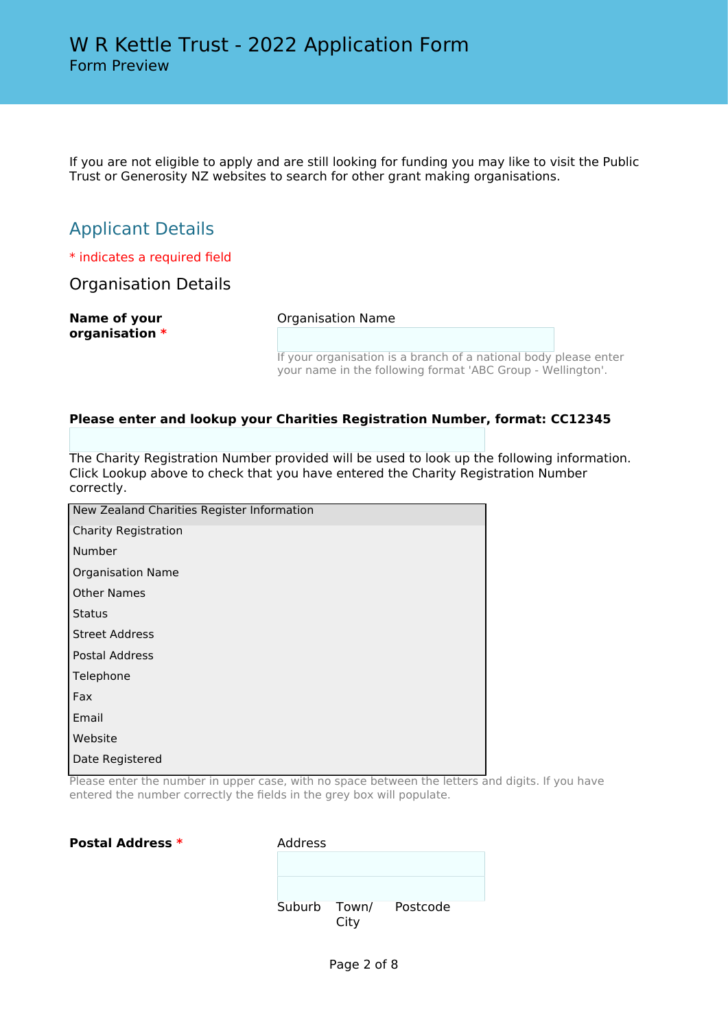If you are not eligible to apply and are still looking for funding you may like to visit the Public Trust or Generosity NZ websites to search for other grant making organisations.

# Applicant Details

\* indicates a required field

Organisation Details

| Name of your   |  |
|----------------|--|
| organisation * |  |

Organisation Name

If your organisation is a branch of a national body please enter your name in the following format 'ABC Group - Wellington'.

#### **Please enter and lookup your Charities Registration Number, format: CC12345**

The Charity Registration Number provided will be used to look up the following information. Click Lookup above to check that you have entered the Charity Registration Number correctly.

| New Zealand Charities Register Information |
|--------------------------------------------|
| <b>Charity Registration</b>                |
| Number                                     |
| <b>Organisation Name</b>                   |
| <b>Other Names</b>                         |
| <b>Status</b>                              |
| <b>Street Address</b>                      |
| <b>Postal Address</b>                      |
| Telephone                                  |
| Fax                                        |
| Email                                      |
| Website                                    |
| Date Registered                            |

Please enter the number in upper case, with no space between the letters and digits. If you have entered the number correctly the fields in the grey box will populate.

**Postal Address \*** Address

| Suburb Town/ | City | Postcode |  |
|--------------|------|----------|--|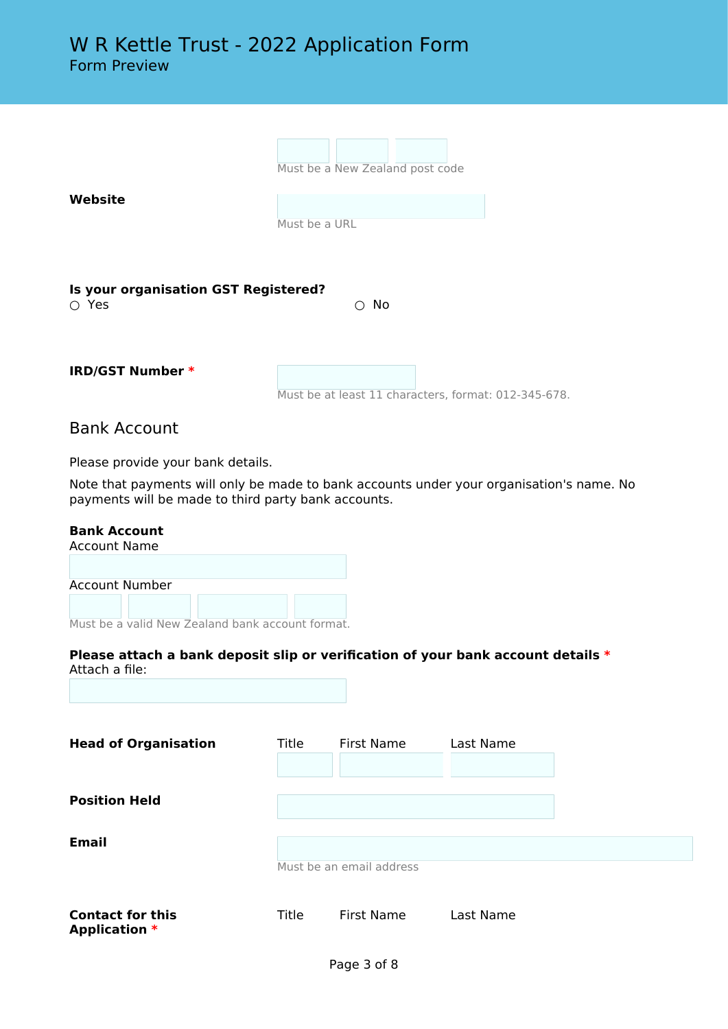| Website                                             | Must be a New Zealand post code                      |
|-----------------------------------------------------|------------------------------------------------------|
|                                                     | Must be a URL                                        |
| Is your organisation GST Registered?<br>$\circ$ Yes | No<br>∩                                              |
| <b>IRD/GST Number *</b>                             | Must be at least 11 characters, format: 012-345-678. |

## Bank Account

Please provide your bank details.

Note that payments will only be made to bank accounts under your organisation's name. No payments will be made to third party bank accounts.

#### **Bank Account**

| Account Name   |                                                  |  |  |
|----------------|--------------------------------------------------|--|--|
|                |                                                  |  |  |
| Account Number |                                                  |  |  |
|                |                                                  |  |  |
|                | Must be a valid New Zealand bank account format. |  |  |

| Please attach a bank deposit slip or verification of your bank account details * |  |
|----------------------------------------------------------------------------------|--|
| Attach a file:                                                                   |  |

| <b>Head of Organisation</b>                     | Title | First Name               | Last Name |  |
|-------------------------------------------------|-------|--------------------------|-----------|--|
| <b>Position Held</b>                            |       |                          |           |  |
| <b>Email</b>                                    |       | Must be an email address |           |  |
| <b>Contact for this</b><br><b>Application *</b> | Title | <b>First Name</b>        | Last Name |  |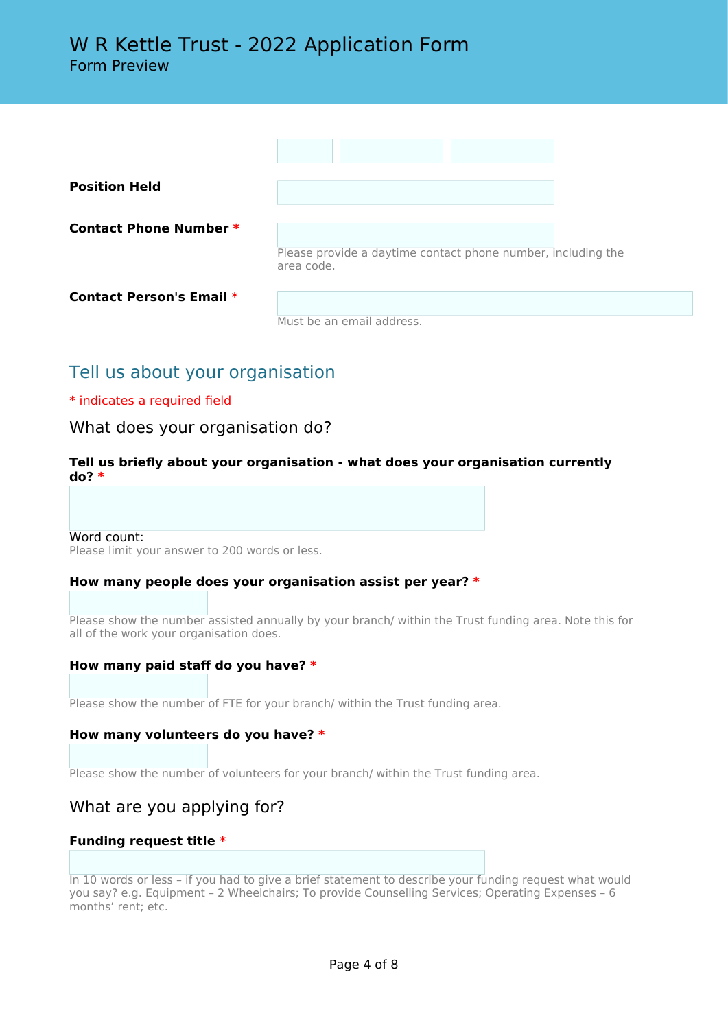| <b>Position Held</b>            |                                                              |
|---------------------------------|--------------------------------------------------------------|
| Contact Phone Number *          | Please provide a daytime contact phone number, including the |
|                                 | area code.                                                   |
| <b>Contact Person's Email *</b> | Must be an email address.                                    |

# Tell us about your organisation

#### \* indicates a required field

### What does your organisation do?

#### **Tell us briefly about your organisation - what does your organisation currently do? \***

#### Word count:

Please limit your answer to 200 words or less.

### **How many people does your organisation assist per year? \***

Please show the number assisted annually by your branch/ within the Trust funding area. Note this for all of the work your organisation does.

### **How many paid staff do you have? \***

Please show the number of FTE for your branch/ within the Trust funding area.

#### **How many volunteers do you have? \***

Please show the number of volunteers for your branch/ within the Trust funding area.

### What are you applying for?

#### **Funding request title \***

In 10 words or less – if you had to give a brief statement to describe your funding request what would you say? e.g. Equipment – 2 Wheelchairs; To provide Counselling Services; Operating Expenses – 6 months' rent; etc.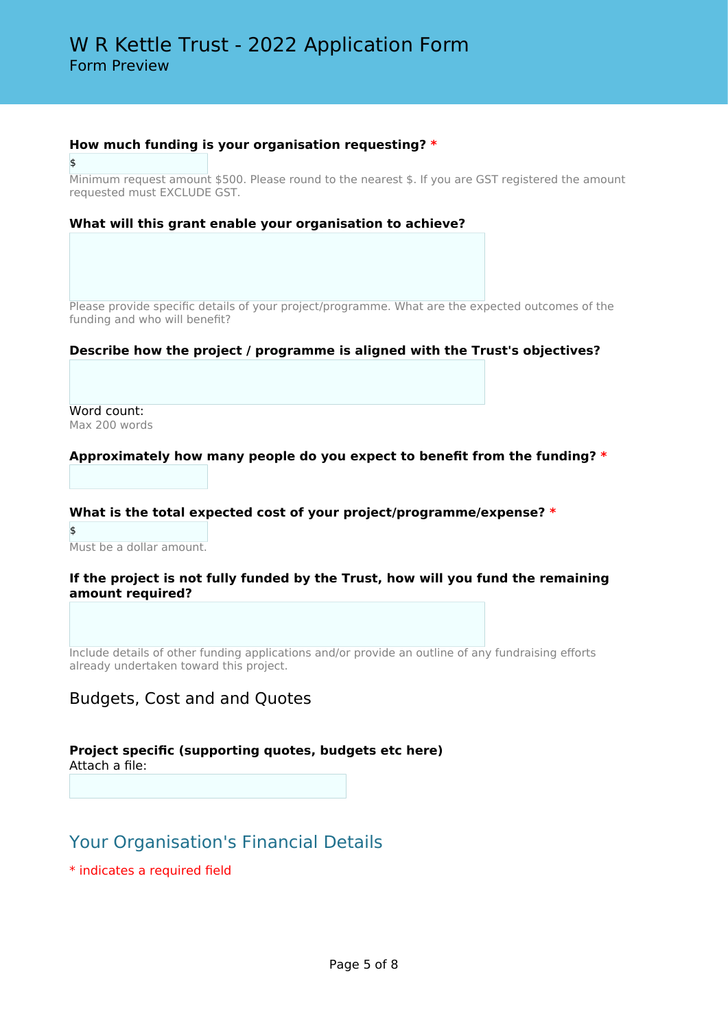#### **How much funding is your organisation requesting? \***

\$

Minimum request amount \$500. Please round to the nearest \$. If you are GST registered the amount requested must EXCLUDE GST.

#### **What will this grant enable your organisation to achieve?**

Please provide specific details of your project/programme. What are the expected outcomes of the funding and who will benefit?

#### **Describe how the project / programme is aligned with the Trust's objectives?**

Word count: Max 200 words

#### **Approximately how many people do you expect to benefit from the funding? \***

#### **What is the total expected cost of your project/programme/expense? \***

\$ Must be a dollar amount.

#### **If the project is not fully funded by the Trust, how will you fund the remaining amount required?**

Include details of other funding applications and/or provide an outline of any fundraising efforts already undertaken toward this project.

### Budgets, Cost and and Quotes

# **Project specific (supporting quotes, budgets etc here)**

Attach a file:

# Your Organisation's Financial Details

\* indicates a required field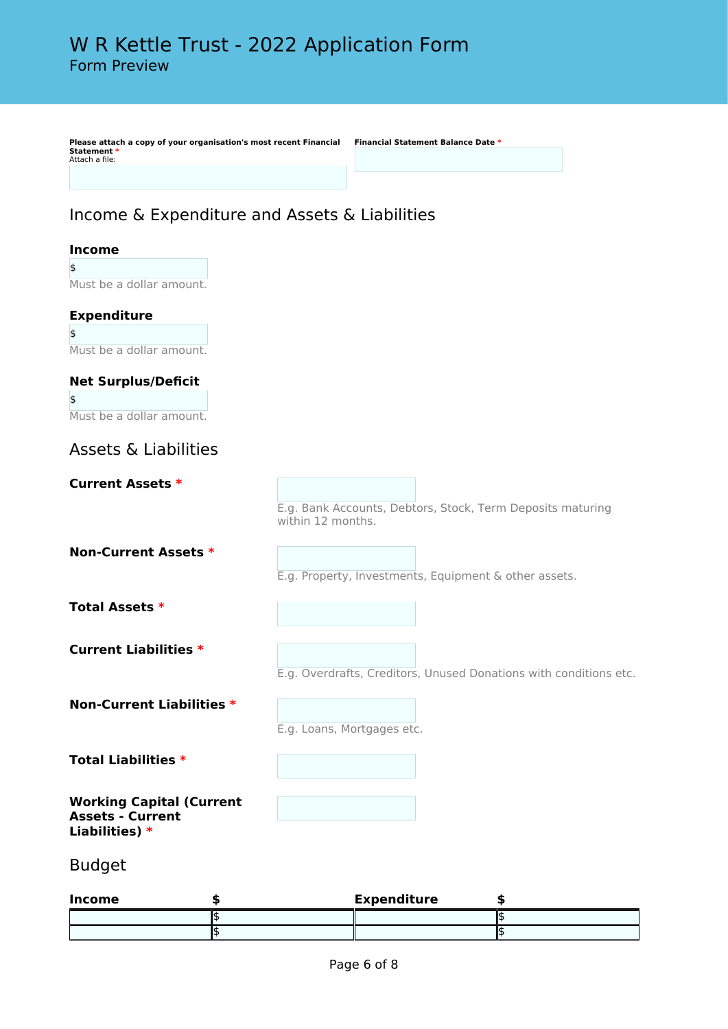**Please attach a copy of your organisation's most recent Financial Statement \*** Attach a file:

**Financial Statement Balance Date \***

# Income & Expenditure and Assets & Liabilities

### **Income**

\$ Must be a dollar amount.

### **Expenditure**

\$ Must be a dollar amount.

# **Net Surplus/Deficit**

\$ Must be a dollar amount.

# Assets & Liabilities

**Current Assets \***

E.g. Bank Accounts, Debtors, Stock, Term Deposits maturing within 12 months.

**Non-Current Assets \***

E.g. Property, Investments, Equipment & other assets.

**Total Assets \***

**Current Liabilities \***

E.g. Overdrafts, Creditors, Unused Donations with conditions etc.

**Non-Current Liabilities \***

E.g. Loans, Mortgages etc.

**Total Liabilities \***

**Working Capital (Current Assets - Current Liabilities) \***

Budget

| Income | <b>Expenditure</b> |  |
|--------|--------------------|--|
|        |                    |  |
|        |                    |  |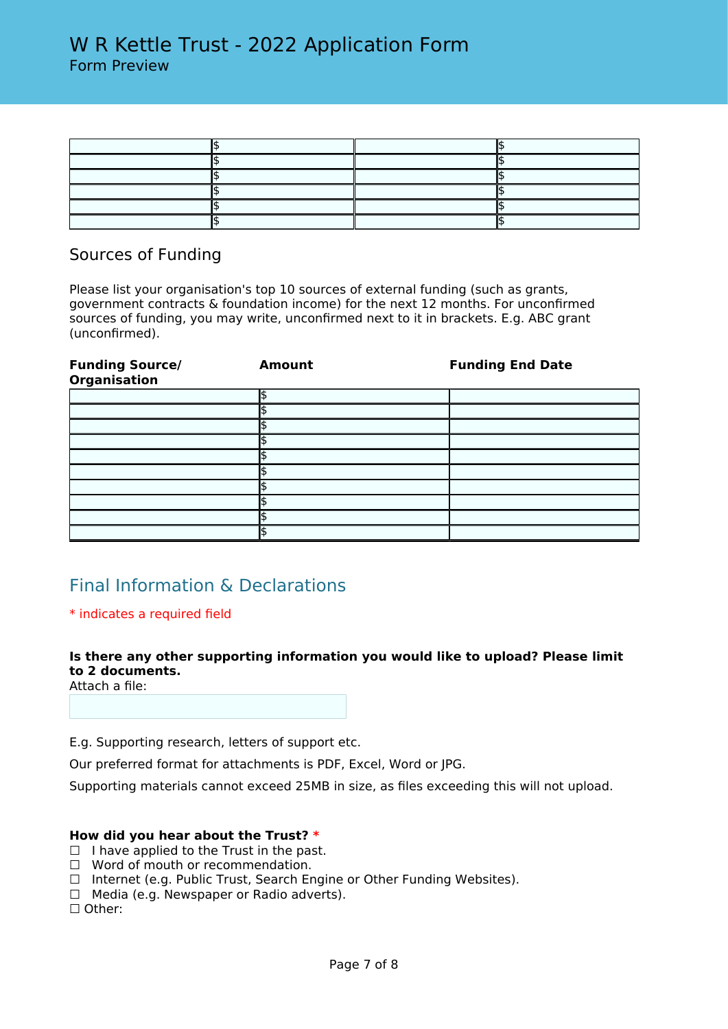### Sources of Funding

Please list your organisation's top 10 sources of external funding (such as grants, government contracts & foundation income) for the next 12 months. For unconfirmed sources of funding, you may write, unconfirmed next to it in brackets. E.g. ABC grant (unconfirmed).

| <b>Funding Source/</b><br>Organisation | <b>Amount</b> | <b>Funding End Date</b> |
|----------------------------------------|---------------|-------------------------|
|                                        |               |                         |
|                                        |               |                         |
|                                        |               |                         |
|                                        |               |                         |
|                                        |               |                         |
|                                        |               |                         |
|                                        |               |                         |
|                                        |               |                         |
|                                        |               |                         |
|                                        |               |                         |

# Final Information & Declarations

### \* indicates a required field

### **Is there any other supporting information you would like to upload? Please limit to 2 documents.**

Attach a file:

E.g. Supporting research, letters of support etc.

Our preferred format for attachments is PDF, Excel, Word or JPG.

Supporting materials cannot exceed 25MB in size, as files exceeding this will not upload.

### **How did you hear about the Trust? \***

- $\Box$  I have applied to the Trust in the past.
- ☐ Word of mouth or recommendation.
- ☐ Internet (e.g. Public Trust, Search Engine or Other Funding Websites).
- ☐ Media (e.g. Newspaper or Radio adverts).

☐ Other: